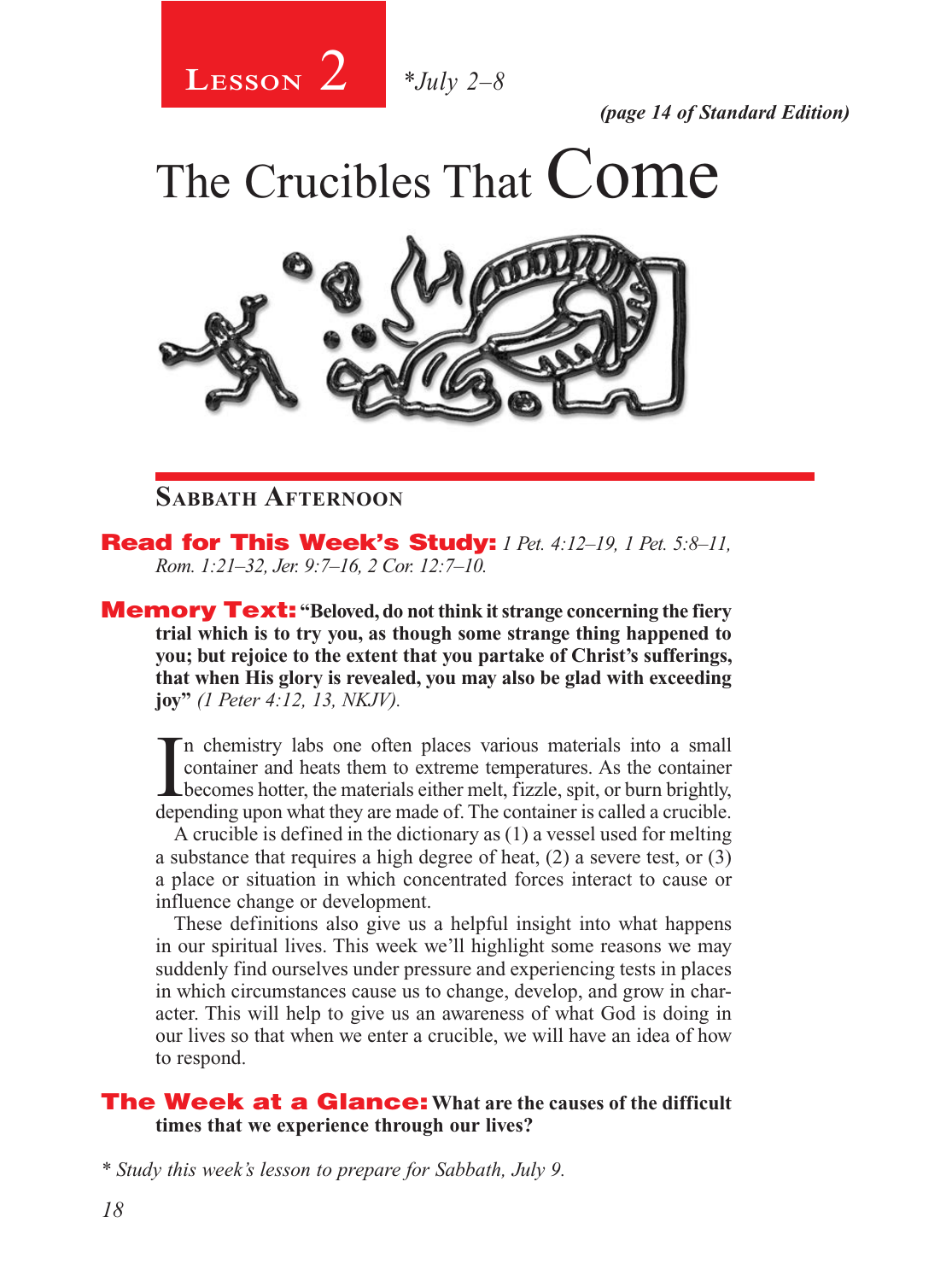2 **Lesson** *\*July 2–8*

*(page 14 of Standard Edition)*

The Crucibles That Come



# **Sabbath Afternoon**

Read for This Week's Study: *1 Pet. 4:12–19, 1 Pet. 5:8–11, Rom. 1:21–32, Jer. 9:7–16, 2 Cor. 12:7–10.*

**Memory Text:** "Beloved, do not think it strange concerning the fiery **trial which is to try you, as though some strange thing happened to you; but rejoice to the extent that you partake of Christ's sufferings, that when His glory is revealed, you may also be glad with exceeding joy"** *(1 Peter 4:12, 13, NKJV).* 

In chemistry labs one often places various materials into a small<br>container and heats them to extreme temperatures. As the container<br>becomes hotter, the materials either melt, fizzle, spit, or burn brightly,<br>depending upon n chemistry labs one often places various materials into a small container and heats them to extreme temperatures. As the container depending upon what they are made of. The container is called a crucible.

A crucible is defined in the dictionary as (1) a vessel used for melting a substance that requires a high degree of heat, (2) a severe test, or (3) a place or situation in which concentrated forces interact to cause or influence change or development.

These definitions also give us a helpful insight into what happens in our spiritual lives. This week we'll highlight some reasons we may suddenly find ourselves under pressure and experiencing tests in places in which circumstances cause us to change, develop, and grow in character. This will help to give us an awareness of what God is doing in our lives so that when we enter a crucible, we will have an idea of how to respond.

#### The Week at a Glance: **What are the causes of the difficult times that we experience through our lives?**

*\* Study this week's lesson to prepare for Sabbath, July 9.*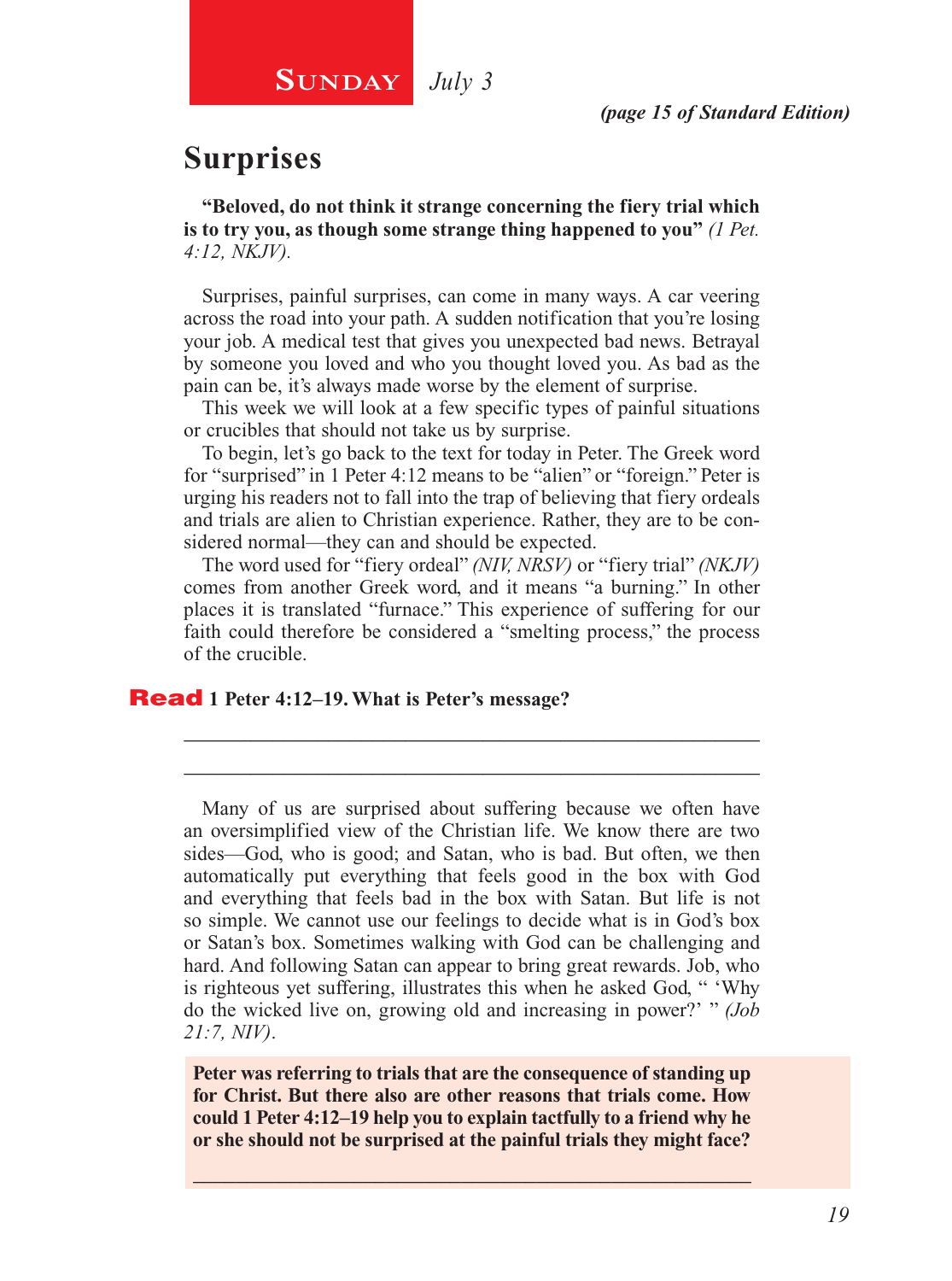# **SUNDAY** July 3

# **Surprises**

**"Beloved, do not think it strange concerning the fiery trial which is to try you, as though some strange thing happened to you"** *(1 Pet. 4:12, NKJV).*

Surprises, painful surprises, can come in many ways. A car veering across the road into your path. A sudden notification that you're losing your job. A medical test that gives you unexpected bad news. Betrayal by someone you loved and who you thought loved you. As bad as the pain can be, it's always made worse by the element of surprise.

This week we will look at a few specific types of painful situations or crucibles that should not take us by surprise.

To begin, let's go back to the text for today in Peter. The Greek word for "surprised" in 1 Peter 4:12 means to be "alien" or "foreign." Peter is urging his readers not to fall into the trap of believing that fiery ordeals and trials are alien to Christian experience. Rather, they are to be considered normal—they can and should be expected.

The word used for "fiery ordeal" *(NIV, NRSV)* or "fiery trial" *(NKJV)*  comes from another Greek word, and it means "a burning." In other places it is translated "furnace." This experience of suffering for our faith could therefore be considered a "smelting process," the process of the crucible.

\_\_\_\_\_\_\_\_\_\_\_\_\_\_\_\_\_\_\_\_\_\_\_\_\_\_\_\_\_\_\_\_\_\_\_\_\_\_\_\_\_\_\_\_\_\_\_\_\_\_\_\_ \_\_\_\_\_\_\_\_\_\_\_\_\_\_\_\_\_\_\_\_\_\_\_\_\_\_\_\_\_\_\_\_\_\_\_\_\_\_\_\_\_\_\_\_\_\_\_\_\_\_\_\_

#### Read **1 Peter 4:12–19. What is Peter's message?**

Many of us are surprised about suffering because we often have an oversimplified view of the Christian life. We know there are two sides—God, who is good; and Satan, who is bad. But often, we then automatically put everything that feels good in the box with God and everything that feels bad in the box with Satan. But life is not so simple. We cannot use our feelings to decide what is in God's box or Satan's box. Sometimes walking with God can be challenging and hard. And following Satan can appear to bring great rewards. Job, who is righteous yet suffering, illustrates this when he asked God, " 'Why do the wicked live on, growing old and increasing in power?' " *(Job 21:7, NIV)*.

**Peter was referring to trials that are the consequence of standing up for Christ. But there also are other reasons that trials come. How could 1 Peter 4:12–19 help you to explain tactfully to a friend why he or she should not be surprised at the painful trials they might face?**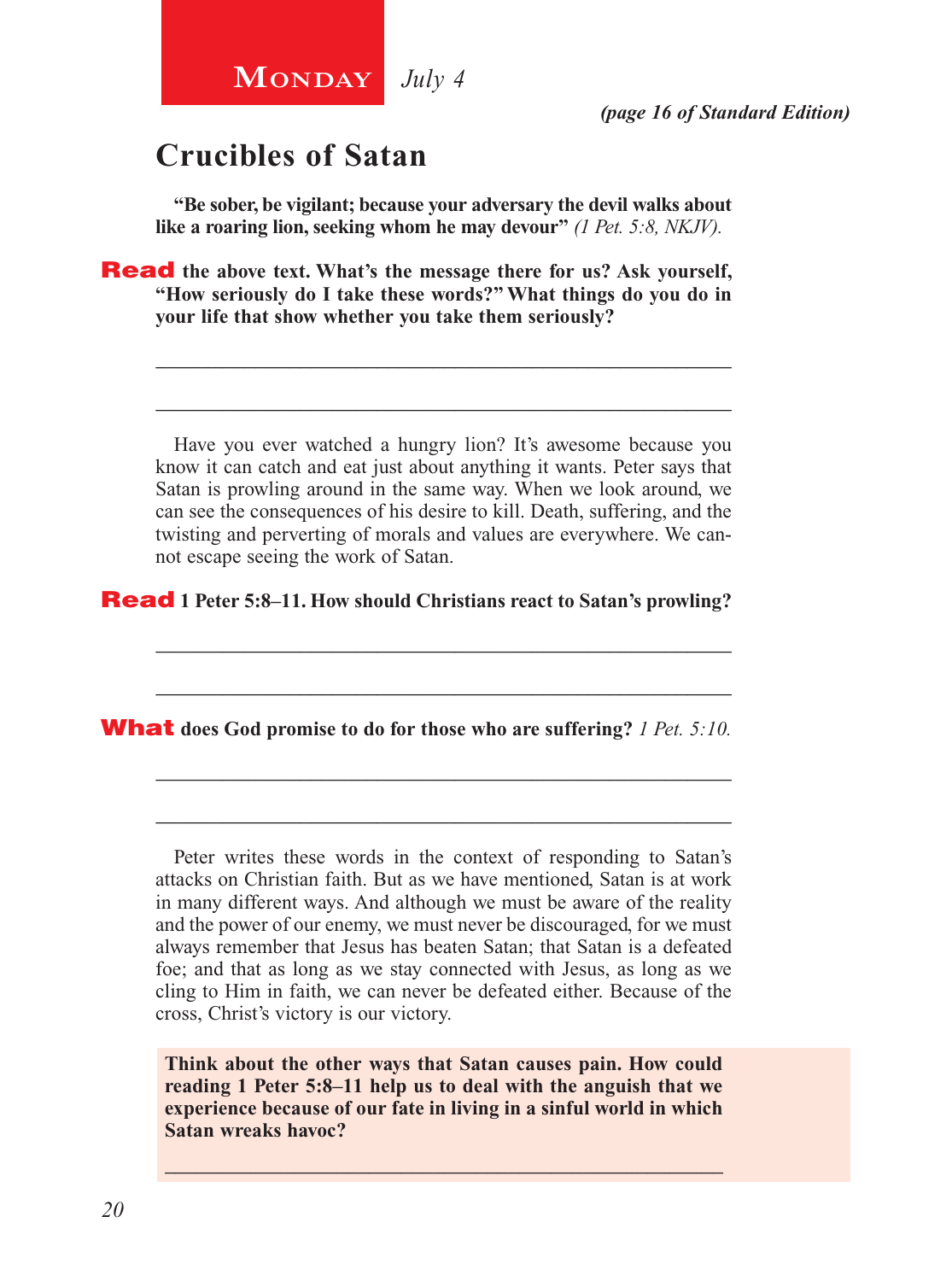# **Crucibles of Satan**

**MONDAY** July 4

**"Be sober, be vigilant; because your adversary the devil walks about like a roaring lion, seeking whom he may devour"** *(1 Pet. 5:8, NKJV).*

**Read** the above text. What's the message there for us? Ask yourself, **"How seriously do I take these words?" What things do you do in your life that show whether you take them seriously?**

Have you ever watched a hungry lion? It's awesome because you know it can catch and eat just about anything it wants. Peter says that Satan is prowling around in the same way. When we look around, we can see the consequences of his desire to kill. Death, suffering, and the twisting and perverting of morals and values are everywhere. We cannot escape seeing the work of Satan.

\_\_\_\_\_\_\_\_\_\_\_\_\_\_\_\_\_\_\_\_\_\_\_\_\_\_\_\_\_\_\_\_\_\_\_\_\_\_\_\_\_\_\_\_\_\_\_\_\_\_\_\_

\_\_\_\_\_\_\_\_\_\_\_\_\_\_\_\_\_\_\_\_\_\_\_\_\_\_\_\_\_\_\_\_\_\_\_\_\_\_\_\_\_\_\_\_\_\_\_\_\_\_\_\_

\_\_\_\_\_\_\_\_\_\_\_\_\_\_\_\_\_\_\_\_\_\_\_\_\_\_\_\_\_\_\_\_\_\_\_\_\_\_\_\_\_\_\_\_\_\_\_\_\_\_\_\_

\_\_\_\_\_\_\_\_\_\_\_\_\_\_\_\_\_\_\_\_\_\_\_\_\_\_\_\_\_\_\_\_\_\_\_\_\_\_\_\_\_\_\_\_\_\_\_\_\_\_\_\_

\_\_\_\_\_\_\_\_\_\_\_\_\_\_\_\_\_\_\_\_\_\_\_\_\_\_\_\_\_\_\_\_\_\_\_\_\_\_\_\_\_\_\_\_\_\_\_\_\_\_\_\_

\_\_\_\_\_\_\_\_\_\_\_\_\_\_\_\_\_\_\_\_\_\_\_\_\_\_\_\_\_\_\_\_\_\_\_\_\_\_\_\_\_\_\_\_\_\_\_\_\_\_\_\_

Read **1 Peter 5:8–11. How should Christians react to Satan's prowling?**

What **does God promise to do for those who are suffering?** *1 Pet. 5:10.*

Peter writes these words in the context of responding to Satan's attacks on Christian faith. But as we have mentioned, Satan is at work in many different ways. And although we must be aware of the reality and the power of our enemy, we must never be discouraged, for we must always remember that Jesus has beaten Satan; that Satan is a defeated foe; and that as long as we stay connected with Jesus, as long as we cling to Him in faith, we can never be defeated either. Because of the cross, Christ's victory is our victory.

**Think about the other ways that Satan causes pain. How could reading 1 Peter 5:8–11 help us to deal with the anguish that we experience because of our fate in living in a sinful world in which Satan wreaks havoc?**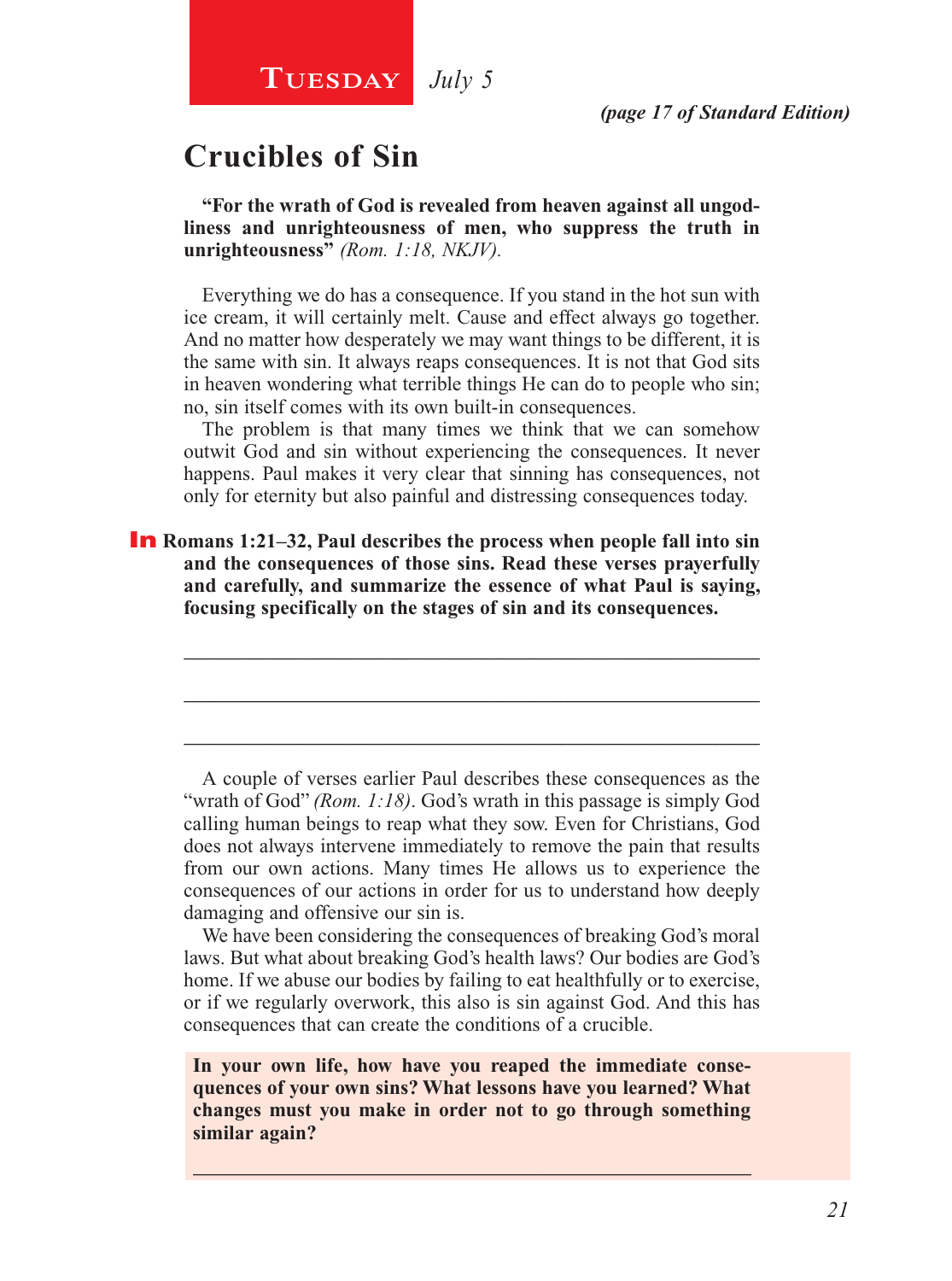# **Crucibles of Sin**

**"For the wrath of God is revealed from heaven against all ungodliness and unrighteousness of men, who suppress the truth in unrighteousness"** *(Rom. 1:18, NKJV).*

Everything we do has a consequence. If you stand in the hot sun with ice cream, it will certainly melt. Cause and effect always go together. And no matter how desperately we may want things to be different, it is the same with sin. It always reaps consequences. It is not that God sits in heaven wondering what terrible things He can do to people who sin; no, sin itself comes with its own built-in consequences.

The problem is that many times we think that we can somehow outwit God and sin without experiencing the consequences. It never happens. Paul makes it very clear that sinning has consequences, not only for eternity but also painful and distressing consequences today.

\_\_\_\_\_\_\_\_\_\_\_\_\_\_\_\_\_\_\_\_\_\_\_\_\_\_\_\_\_\_\_\_\_\_\_\_\_\_\_\_\_\_\_\_\_\_\_\_\_\_\_\_

\_\_\_\_\_\_\_\_\_\_\_\_\_\_\_\_\_\_\_\_\_\_\_\_\_\_\_\_\_\_\_\_\_\_\_\_\_\_\_\_\_\_\_\_\_\_\_\_\_\_\_\_

\_\_\_\_\_\_\_\_\_\_\_\_\_\_\_\_\_\_\_\_\_\_\_\_\_\_\_\_\_\_\_\_\_\_\_\_\_\_\_\_\_\_\_\_\_\_\_\_\_\_\_\_

**In** Romans 1:21–32, Paul describes the process when people fall into sin **and the consequences of those sins. Read these verses prayerfully and carefully, and summarize the essence of what Paul is saying, focusing specifically on the stages of sin and its consequences.** 

A couple of verses earlier Paul describes these consequences as the "wrath of God" *(Rom. 1:18)*. God's wrath in this passage is simply God calling human beings to reap what they sow. Even for Christians, God does not always intervene immediately to remove the pain that results from our own actions. Many times He allows us to experience the consequences of our actions in order for us to understand how deeply damaging and offensive our sin is.

We have been considering the consequences of breaking God's moral laws. But what about breaking God's health laws? Our bodies are God's home. If we abuse our bodies by failing to eat healthfully or to exercise, or if we regularly overwork, this also is sin against God. And this has consequences that can create the conditions of a crucible.

**In your own life, how have you reaped the immediate consequences of your own sins? What lessons have you learned? What changes must you make in order not to go through something similar again?**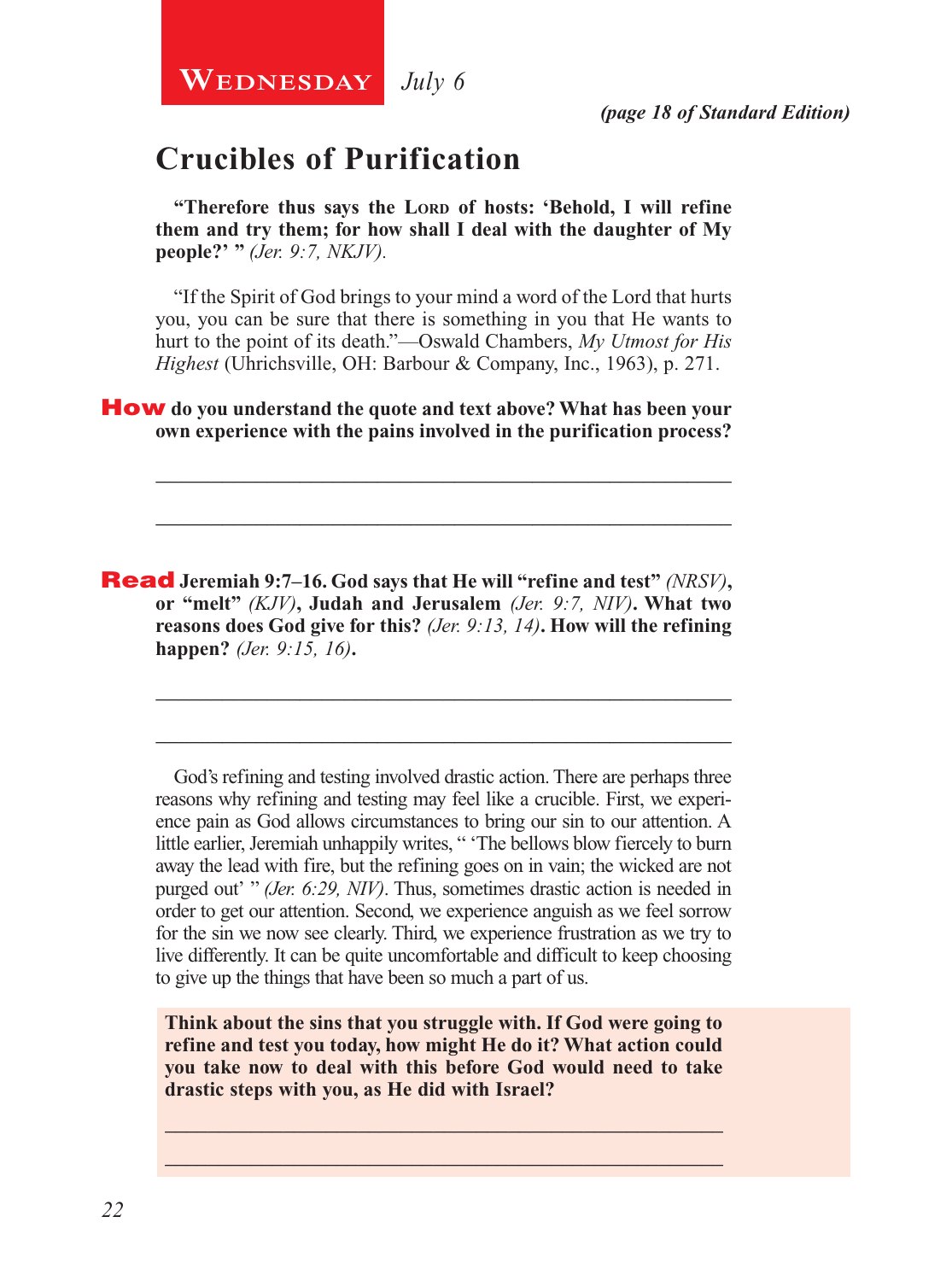**WEDNESDAY** July 6

*(page 18 of Standard Edition)*

# **Crucibles of Purification**

"Therefore thus says the LORD of hosts: 'Behold, I will refine **them and try them; for how shall I deal with the daughter of My people?' "** *(Jer. 9:7, NKJV).*

"If the Spirit of God brings to your mind a word of the Lord that hurts you, you can be sure that there is something in you that He wants to hurt to the point of its death."—Oswald Chambers, *My Utmost for His Highest* (Uhrichsville, OH: Barbour & Company, Inc., 1963), p. 271.

\_\_\_\_\_\_\_\_\_\_\_\_\_\_\_\_\_\_\_\_\_\_\_\_\_\_\_\_\_\_\_\_\_\_\_\_\_\_\_\_\_\_\_\_\_\_\_\_\_\_\_\_

\_\_\_\_\_\_\_\_\_\_\_\_\_\_\_\_\_\_\_\_\_\_\_\_\_\_\_\_\_\_\_\_\_\_\_\_\_\_\_\_\_\_\_\_\_\_\_\_\_\_\_\_

\_\_\_\_\_\_\_\_\_\_\_\_\_\_\_\_\_\_\_\_\_\_\_\_\_\_\_\_\_\_\_\_\_\_\_\_\_\_\_\_\_\_\_\_\_\_\_\_\_\_\_\_

\_\_\_\_\_\_\_\_\_\_\_\_\_\_\_\_\_\_\_\_\_\_\_\_\_\_\_\_\_\_\_\_\_\_\_\_\_\_\_\_\_\_\_\_\_\_\_\_\_\_\_\_

How **do you understand the quote and text above? What has been your own experience with the pains involved in the purification process?** 

Read **Jeremiah 9:7–16. God says that He will "refine and test"** *(NRSV)***, or "melt"** *(KJV)***, Judah and Jerusalem** *(Jer. 9:7, NIV)***. What two reasons does God give for this?** *(Jer. 9:13, 14)***. How will the refining happen?** *(Jer. 9:15, 16)***.**

God's refining and testing involved drastic action. There are perhaps three reasons why refining and testing may feel like a crucible. First, we experience pain as God allows circumstances to bring our sin to our attention. A little earlier, Jeremiah unhappily writes, " 'The bellows blow fiercely to burn away the lead with fire, but the refining goes on in vain; the wicked are not purged out' " *(Jer. 6:29, NIV)*. Thus, sometimes drastic action is needed in order to get our attention. Second, we experience anguish as we feel sorrow for the sin we now see clearly. Third, we experience frustration as we try to live differently. It can be quite uncomfortable and difficult to keep choosing to give up the things that have been so much a part of us.

**Think about the sins that you struggle with. If God were going to refine and test you today, how might He do it? What action could you take now to deal with this before God would need to take drastic steps with you, as He did with Israel?**

\_\_\_\_\_\_\_\_\_\_\_\_\_\_\_\_\_\_\_\_\_\_\_\_\_\_\_\_\_\_\_\_\_\_\_\_\_\_\_\_\_\_\_\_\_\_\_\_\_\_\_\_ \_\_\_\_\_\_\_\_\_\_\_\_\_\_\_\_\_\_\_\_\_\_\_\_\_\_\_\_\_\_\_\_\_\_\_\_\_\_\_\_\_\_\_\_\_\_\_\_\_\_\_\_

*22*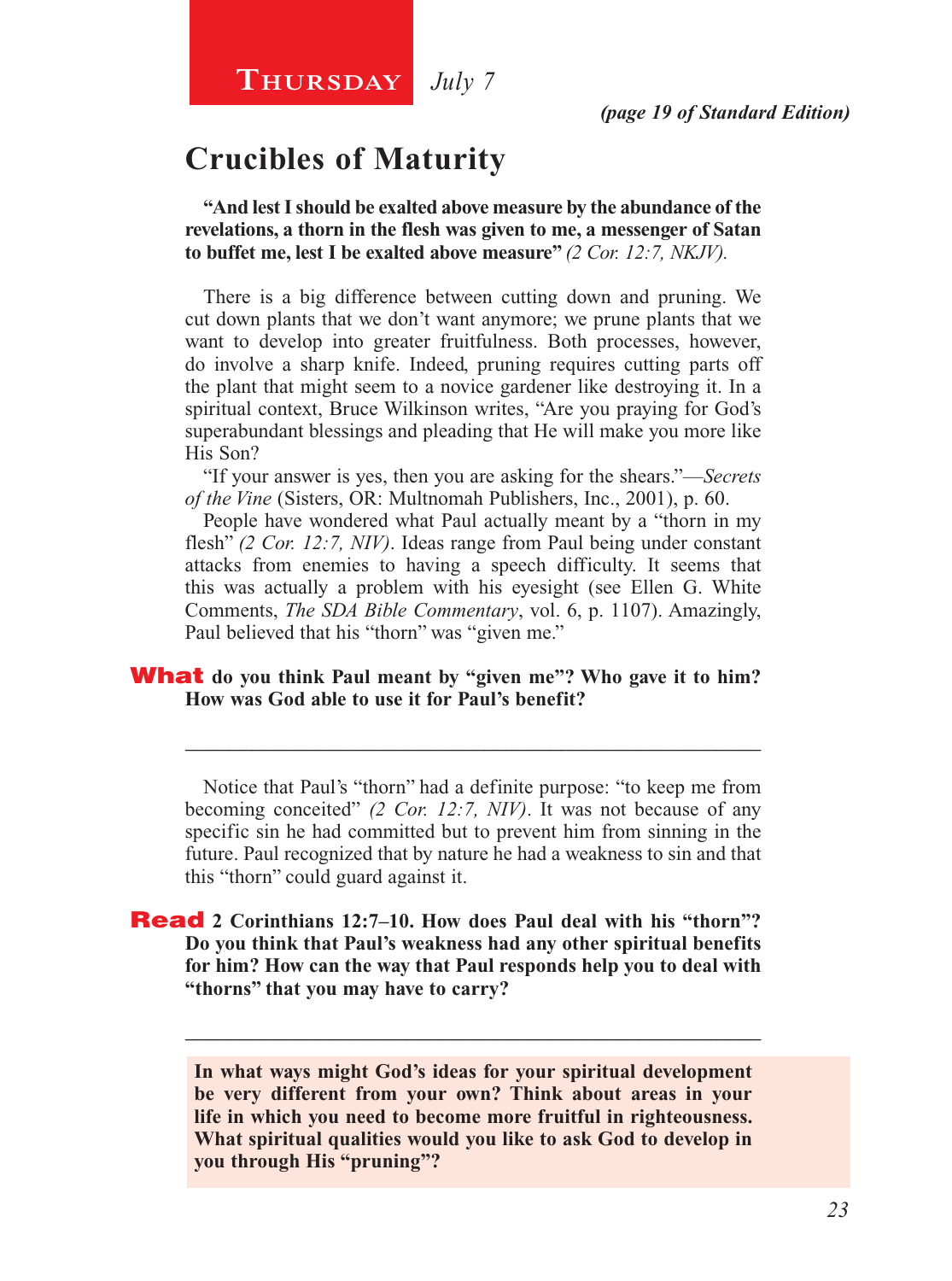# **Crucibles of Maturity**

**"And lest I should be exalted above measure by the abundance of the revelations, a thorn in the flesh was given to me, a messenger of Satan to buffet me, lest I be exalted above measure"** *(2 Cor. 12:7, NKJV).*

There is a big difference between cutting down and pruning. We cut down plants that we don't want anymore; we prune plants that we want to develop into greater fruitfulness. Both processes, however, do involve a sharp knife. Indeed, pruning requires cutting parts off the plant that might seem to a novice gardener like destroying it. In a spiritual context, Bruce Wilkinson writes, "Are you praying for God's superabundant blessings and pleading that He will make you more like His Son?

"If your answer is yes, then you are asking for the shears."—*Secrets of the Vine* (Sisters, OR: Multnomah Publishers, Inc., 2001), p. 60.

People have wondered what Paul actually meant by a "thorn in my flesh" *(2 Cor. 12:7, NIV)*. Ideas range from Paul being under constant attacks from enemies to having a speech difficulty. It seems that this was actually a problem with his eyesight (see Ellen G. White Comments, *The SDA Bible Commentary*, vol. 6, p. 1107). Amazingly, Paul believed that his "thorn" was "given me."

#### **What** do you think Paul meant by "given me"? Who gave it to him? **How was God able to use it for Paul's benefit?**

Notice that Paul's "thorn" had a definite purpose: "to keep me from becoming conceited" *(2 Cor. 12:7, NIV)*. It was not because of any specific sin he had committed but to prevent him from sinning in the future. Paul recognized that by nature he had a weakness to sin and that this "thorn" could guard against it.

\_\_\_\_\_\_\_\_\_\_\_\_\_\_\_\_\_\_\_\_\_\_\_\_\_\_\_\_\_\_\_\_\_\_\_\_\_\_\_\_\_\_\_\_\_\_\_\_\_\_\_\_

#### Read **2 Corinthians 12:7–10. How does Paul deal with his "thorn"? Do you think that Paul's weakness had any other spiritual benefits for him? How can the way that Paul responds help you to deal with "thorns" that you may have to carry?**

**In what ways might God's ideas for your spiritual development be very different from your own? Think about areas in your life in which you need to become more fruitful in righteousness. What spiritual qualities would you like to ask God to develop in you through His "pruning"?**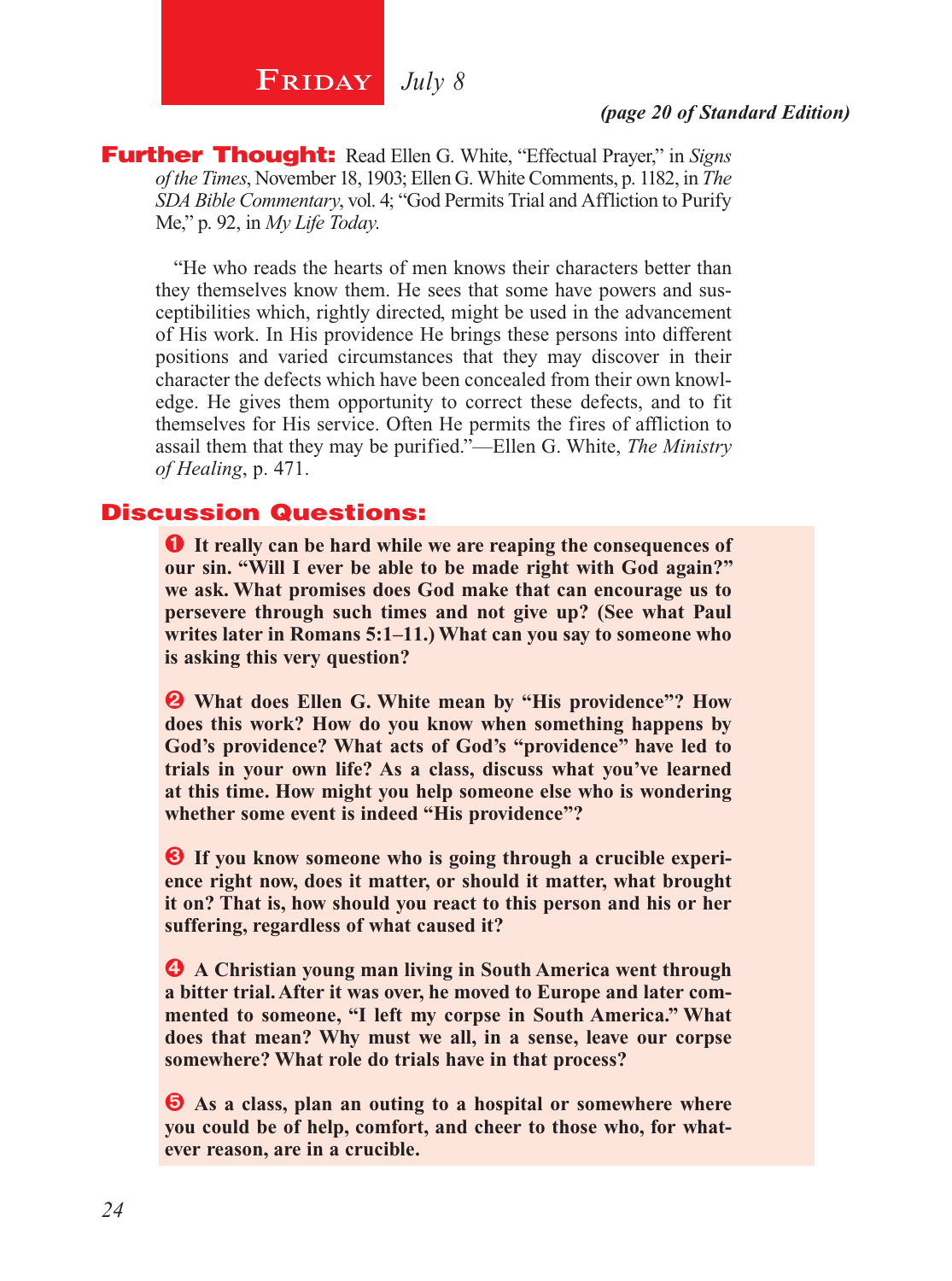# **FRIDAY** July 8

#### *(page 20 of Standard Edition)*

Further Thought: Read Ellen G. White, "Effectual Prayer," in *Signs of the Times*, November 18, 1903; Ellen G. White Comments, p. 1182, in *The SDA Bible Commentary*, vol. 4; "God Permits Trial and Affliction to Purify Me," p. 92, in *My Life Today*.

"He who reads the hearts of men knows their characters better than they themselves know them. He sees that some have powers and susceptibilities which, rightly directed, might be used in the advancement of His work. In His providence He brings these persons into different positions and varied circumstances that they may discover in their character the defects which have been concealed from their own knowledge. He gives them opportunity to correct these defects, and to fit themselves for His service. Often He permits the fires of affliction to assail them that they may be purified."—Ellen G. White, *The Ministry of Healing*, p. 471.

#### Discussion Questions:

Ê **It really can be hard while we are reaping the consequences of our sin. "Will I ever be able to be made right with God again?" we ask. What promises does God make that can encourage us to persevere through such times and not give up? (See what Paul writes later in Romans 5:1–11.) What can you say to someone who is asking this very question?**

 $\bullet$  What does Ellen G. White mean by "His providence"? How **does this work? How do you know when something happens by God's providence? What acts of God's "providence" have led to trials in your own life? As a class, discuss what you've learned at this time. How might you help someone else who is wondering whether some event is indeed "His providence"?**

 $\bullet$  If you know someone who is going through a crucible experi**ence right now, does it matter, or should it matter, what brought it on? That is, how should you react to this person and his or her suffering, regardless of what caused it?**

 $\bullet$  **A Christian young man living in South America went through a bitter trial. After it was over, he moved to Europe and later commented to someone, "I left my corpse in South America." What does that mean? Why must we all, in a sense, leave our corpse somewhere? What role do trials have in that process?** 

Î **As a class, plan an outing to a hospital or somewhere where you could be of help, comfort, and cheer to those who, for whatever reason, are in a crucible.**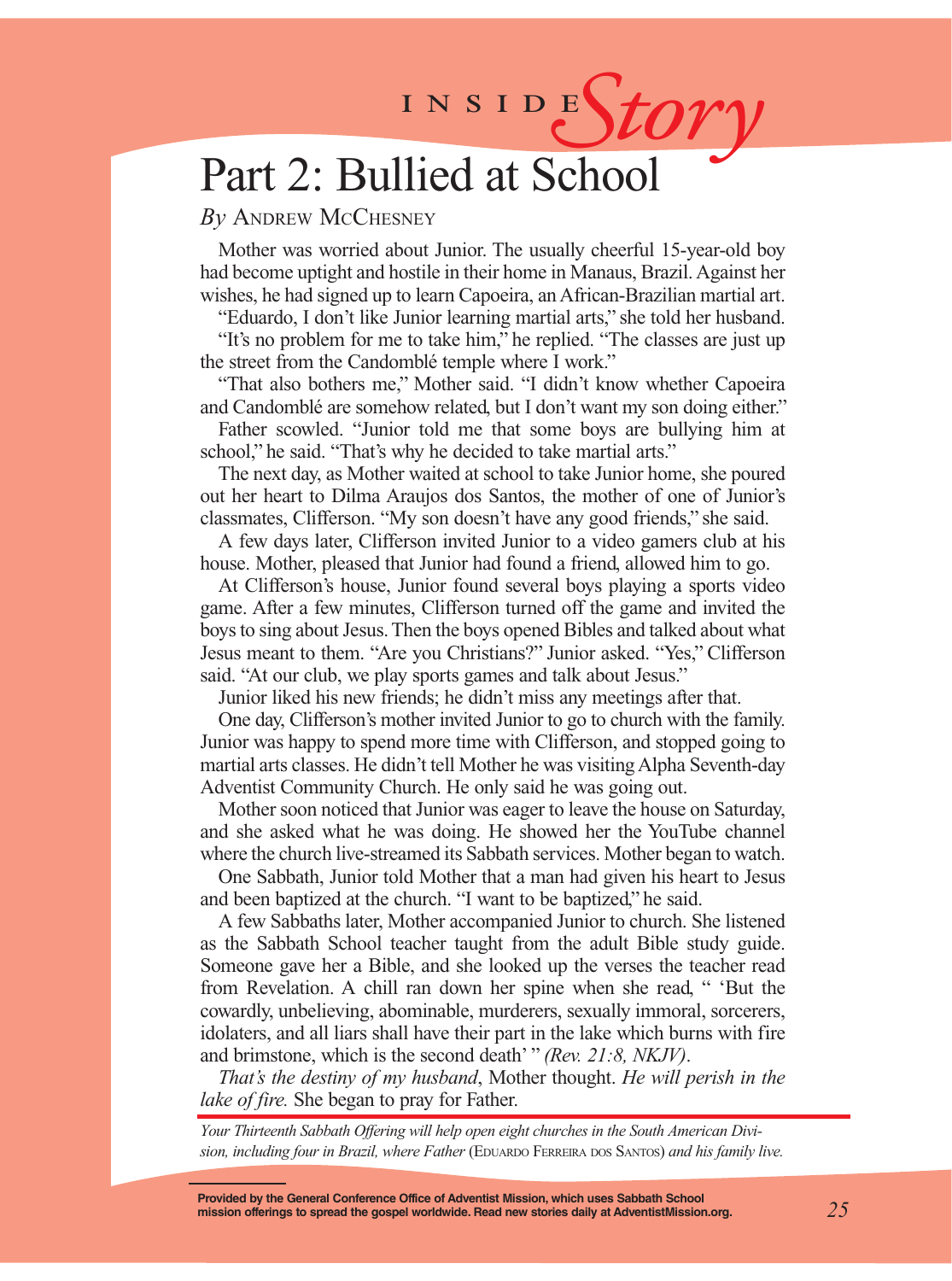# INSIDES*tory*

# Part 2: Bullied at School

#### *By* Andrew McChesney

Mother was worried about Junior. The usually cheerful 15-year-old boy had become uptight and hostile in their home in Manaus, Brazil. Against her wishes, he had signed up to learn Capoeira, an African-Brazilian martial art.

"Eduardo, I don't like Junior learning martial arts," she told her husband. "It's no problem for me to take him," he replied. "The classes are just up the street from the Candomblé temple where I work."

"That also bothers me," Mother said. "I didn't know whether Capoeira and Candomblé are somehow related, but I don't want my son doing either."

Father scowled. "Junior told me that some boys are bullying him at school," he said. "That's why he decided to take martial arts."

The next day, as Mother waited at school to take Junior home, she poured out her heart to Dilma Araujos dos Santos, the mother of one of Junior's classmates, Clifferson. "My son doesn't have any good friends," she said.

A few days later, Clifferson invited Junior to a video gamers club at his house. Mother, pleased that Junior had found a friend, allowed him to go.

At Clifferson's house, Junior found several boys playing a sports video game. After a few minutes, Clifferson turned off the game and invited the boys to sing about Jesus. Then the boys opened Bibles and talked about what Jesus meant to them. "Are you Christians?" Junior asked. "Yes," Clifferson said. "At our club, we play sports games and talk about Jesus."

Junior liked his new friends; he didn't miss any meetings after that.

One day, Clifferson's mother invited Junior to go to church with the family. Junior was happy to spend more time with Clifferson, and stopped going to martial arts classes. He didn't tell Mother he was visiting Alpha Seventh-day Adventist Community Church. He only said he was going out.

Mother soon noticed that Junior was eager to leave the house on Saturday, and she asked what he was doing. He showed her the YouTube channel where the church live-streamed its Sabbath services. Mother began to watch.

One Sabbath, Junior told Mother that a man had given his heart to Jesus and been baptized at the church. "I want to be baptized," he said.

A few Sabbaths later, Mother accompanied Junior to church. She listened as the Sabbath School teacher taught from the adult Bible study guide. Someone gave her a Bible, and she looked up the verses the teacher read from Revelation. A chill ran down her spine when she read, " 'But the cowardly, unbelieving, abominable, murderers, sexually immoral, sorcerers, idolaters, and all liars shall have their part in the lake which burns with fire and brimstone, which is the second death' " *(Rev. 21:8, NKJV)*.

*That's the destiny of my husband*, Mother thought. *He will perish in the lake of fire.* She began to pray for Father.

*Your Thirteenth Sabbath Offering will help open eight churches in the South American Divi*sion, including four in Brazil, where Father *(EDUARDO FERREIRA DOS SANTOS)* and his family live.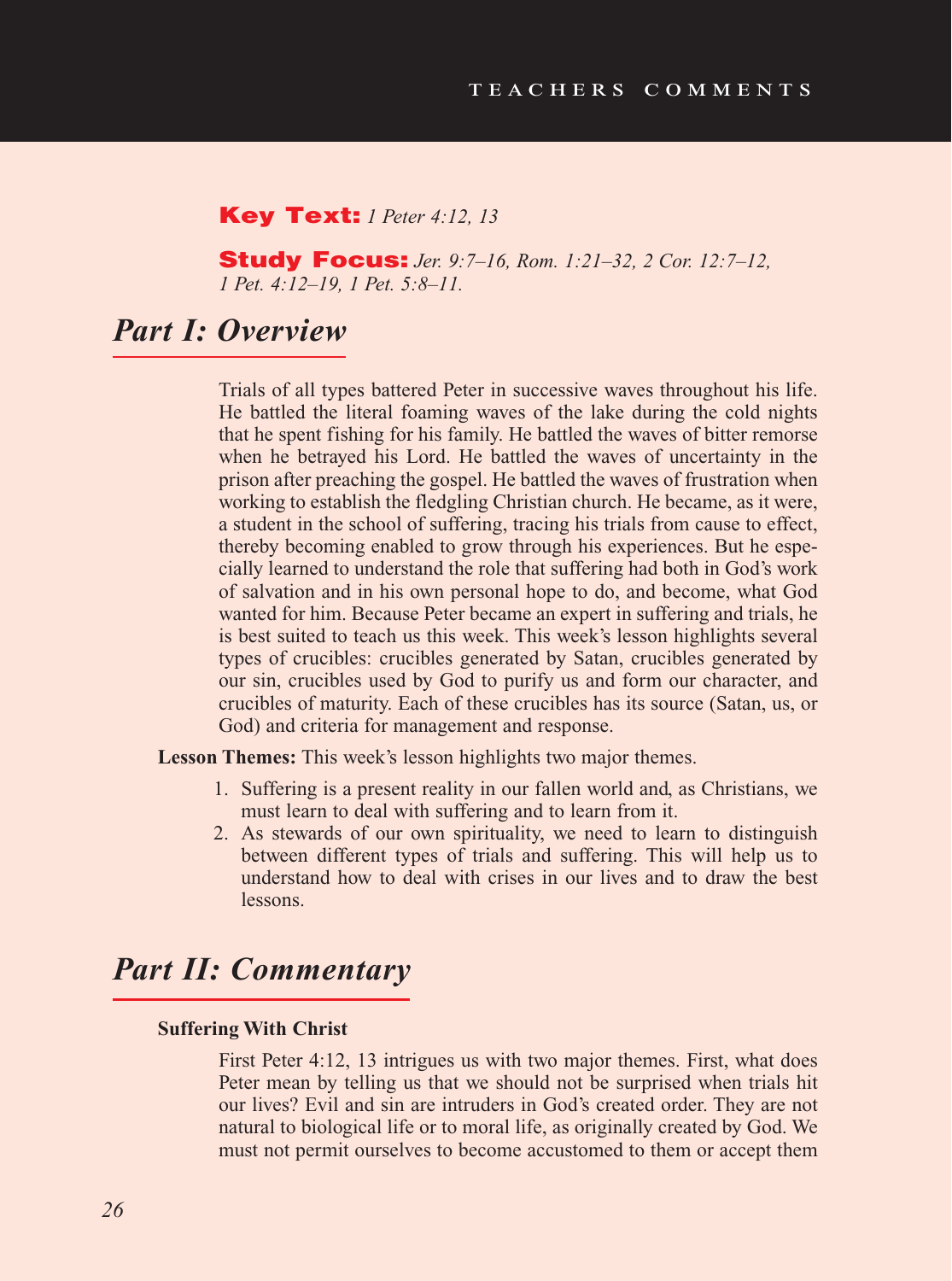#### Key Text: *1 Peter 4:12, 13*

Study Focus: *Jer. 9:7–16, Rom. 1:21–32, 2 Cor. 12:7–12, 1 Pet. 4:12–19, 1 Pet. 5:8–11.*

## *Part I: Overview*

Trials of all types battered Peter in successive waves throughout his life. He battled the literal foaming waves of the lake during the cold nights that he spent fishing for his family. He battled the waves of bitter remorse when he betrayed his Lord. He battled the waves of uncertainty in the prison after preaching the gospel. He battled the waves of frustration when working to establish the fledgling Christian church. He became, as it were, a student in the school of suffering, tracing his trials from cause to effect, thereby becoming enabled to grow through his experiences. But he especially learned to understand the role that suffering had both in God's work of salvation and in his own personal hope to do, and become, what God wanted for him. Because Peter became an expert in suffering and trials, he is best suited to teach us this week. This week's lesson highlights several types of crucibles: crucibles generated by Satan, crucibles generated by our sin, crucibles used by God to purify us and form our character, and crucibles of maturity. Each of these crucibles has its source (Satan, us, or God) and criteria for management and response.

**Lesson Themes:** This week's lesson highlights two major themes.

- 1. Suffering is a present reality in our fallen world and, as Christians, we must learn to deal with suffering and to learn from it.
- 2. As stewards of our own spirituality, we need to learn to distinguish between different types of trials and suffering. This will help us to understand how to deal with crises in our lives and to draw the best lessons.

### *Part II: Commentary*

#### **Suffering With Christ**

First Peter 4:12, 13 intrigues us with two major themes. First, what does Peter mean by telling us that we should not be surprised when trials hit our lives? Evil and sin are intruders in God's created order. They are not natural to biological life or to moral life, as originally created by God. We must not permit ourselves to become accustomed to them or accept them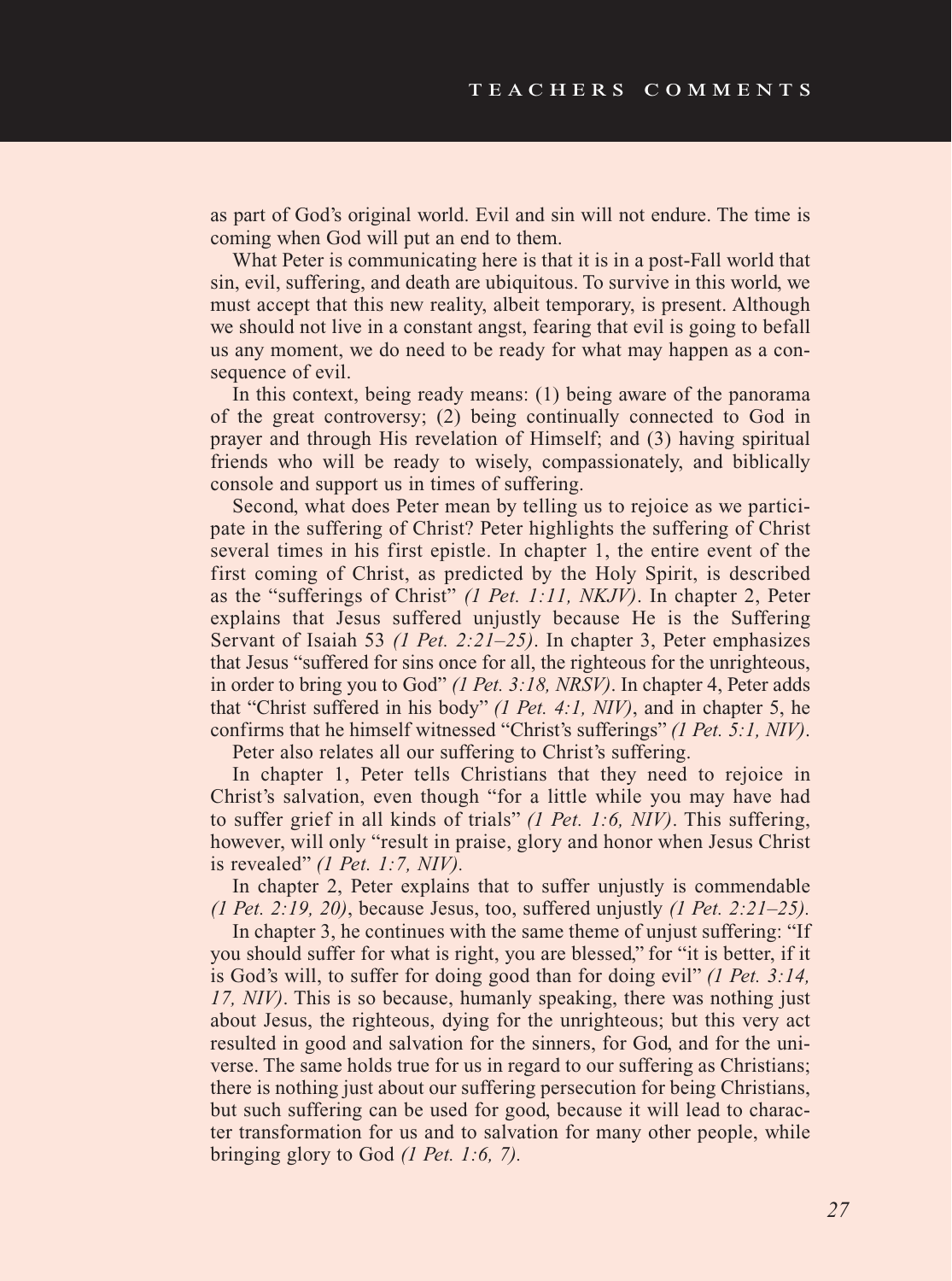as part of God's original world. Evil and sin will not endure. The time is coming when God will put an end to them.

What Peter is communicating here is that it is in a post-Fall world that sin, evil, suffering, and death are ubiquitous. To survive in this world, we must accept that this new reality, albeit temporary, is present. Although we should not live in a constant angst, fearing that evil is going to befall us any moment, we do need to be ready for what may happen as a consequence of evil.

In this context, being ready means: (1) being aware of the panorama of the great controversy; (2) being continually connected to God in prayer and through His revelation of Himself; and (3) having spiritual friends who will be ready to wisely, compassionately, and biblically console and support us in times of suffering.

Second, what does Peter mean by telling us to rejoice as we participate in the suffering of Christ? Peter highlights the suffering of Christ several times in his first epistle. In chapter 1, the entire event of the first coming of Christ, as predicted by the Holy Spirit, is described as the "sufferings of Christ" *(1 Pet. 1:11, NKJV)*. In chapter 2, Peter explains that Jesus suffered unjustly because He is the Suffering Servant of Isaiah 53 *(1 Pet. 2:21–25)*. In chapter 3, Peter emphasizes that Jesus "suffered for sins once for all, the righteous for the unrighteous, in order to bring you to God" *(1 Pet. 3:18, NRSV)*. In chapter 4, Peter adds that "Christ suffered in his body" *(1 Pet. 4:1, NIV)*, and in chapter 5, he confirms that he himself witnessed "Christ's sufferings" *(1 Pet. 5:1, NIV)*.

Peter also relates all our suffering to Christ's suffering.

In chapter 1, Peter tells Christians that they need to rejoice in Christ's salvation, even though "for a little while you may have had to suffer grief in all kinds of trials" *(1 Pet. 1:6, NIV)*. This suffering, however, will only "result in praise, glory and honor when Jesus Christ is revealed" *(1 Pet. 1:7, NIV).*

In chapter 2, Peter explains that to suffer unjustly is commendable *(1 Pet. 2:19, 20)*, because Jesus, too, suffered unjustly *(1 Pet. 2:21–25).*

In chapter 3, he continues with the same theme of unjust suffering: "If you should suffer for what is right, you are blessed," for "it is better, if it is God's will, to suffer for doing good than for doing evil" *(1 Pet. 3:14, 17, NIV)*. This is so because, humanly speaking, there was nothing just about Jesus, the righteous, dying for the unrighteous; but this very act resulted in good and salvation for the sinners, for God, and for the universe. The same holds true for us in regard to our suffering as Christians; there is nothing just about our suffering persecution for being Christians, but such suffering can be used for good, because it will lead to character transformation for us and to salvation for many other people, while bringing glory to God *(1 Pet. 1:6, 7).*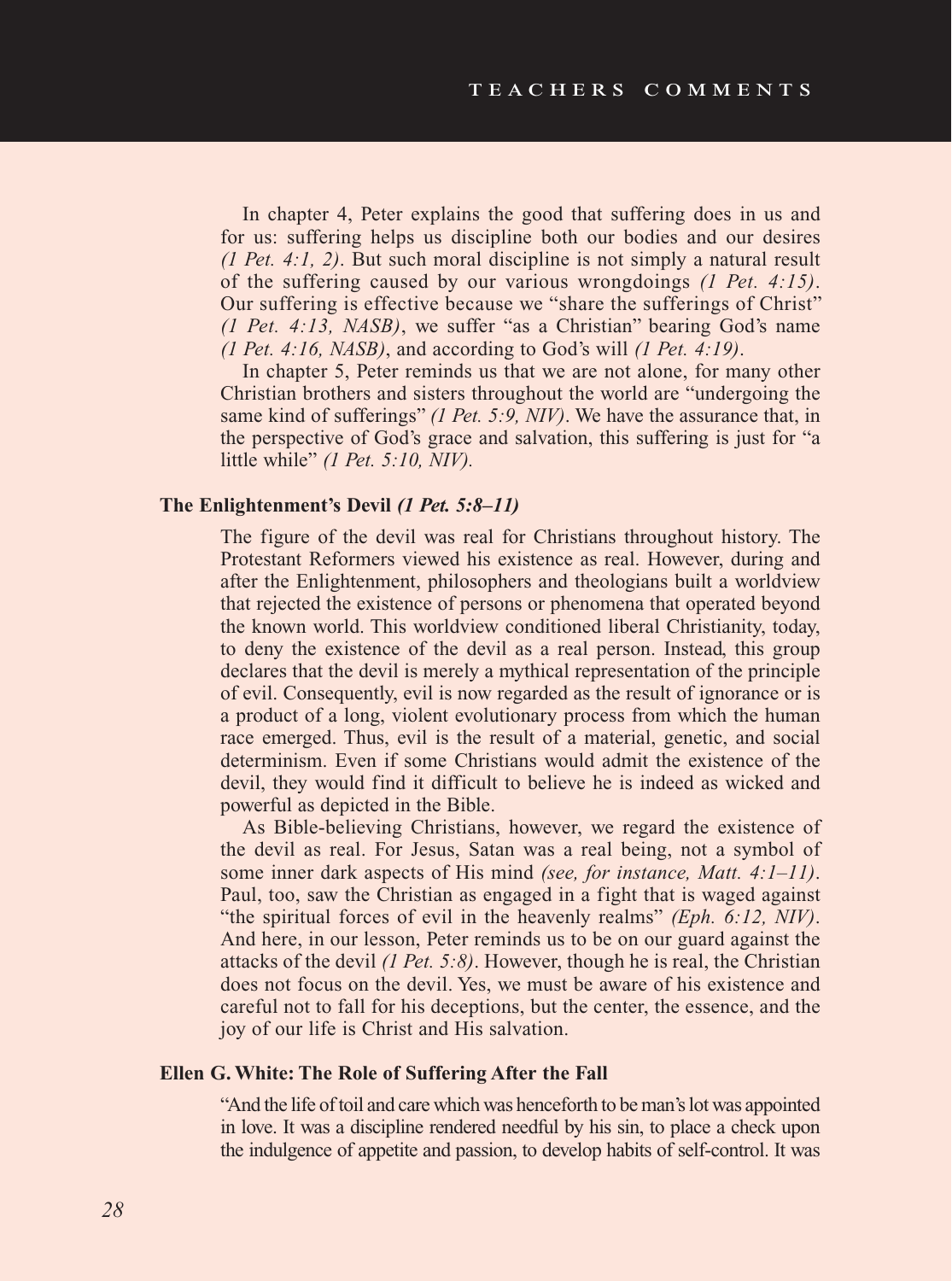In chapter 4, Peter explains the good that suffering does in us and for us: suffering helps us discipline both our bodies and our desires *(1 Pet. 4:1, 2)*. But such moral discipline is not simply a natural result of the suffering caused by our various wrongdoings *(1 Pet. 4:15)*. Our suffering is effective because we "share the sufferings of Christ" *(1 Pet. 4:13, NASB)*, we suffer "as a Christian" bearing God's name *(1 Pet. 4:16, NASB)*, and according to God's will *(1 Pet. 4:19)*.

In chapter 5, Peter reminds us that we are not alone, for many other Christian brothers and sisters throughout the world are "undergoing the same kind of sufferings" *(1 Pet. 5:9, NIV)*. We have the assurance that, in the perspective of God's grace and salvation, this suffering is just for "a little while" *(1 Pet. 5:10, NIV).*

#### **The Enlightenment's Devil** *(1 Pet. 5:8–11)*

The figure of the devil was real for Christians throughout history. The Protestant Reformers viewed his existence as real. However, during and after the Enlightenment, philosophers and theologians built a worldview that rejected the existence of persons or phenomena that operated beyond the known world. This worldview conditioned liberal Christianity, today, to deny the existence of the devil as a real person. Instead, this group declares that the devil is merely a mythical representation of the principle of evil. Consequently, evil is now regarded as the result of ignorance or is a product of a long, violent evolutionary process from which the human race emerged. Thus, evil is the result of a material, genetic, and social determinism. Even if some Christians would admit the existence of the devil, they would find it difficult to believe he is indeed as wicked and powerful as depicted in the Bible.

As Bible-believing Christians, however, we regard the existence of the devil as real. For Jesus, Satan was a real being, not a symbol of some inner dark aspects of His mind *(see, for instance, Matt. 4:1–11)*. Paul, too, saw the Christian as engaged in a fight that is waged against "the spiritual forces of evil in the heavenly realms" *(Eph. 6:12, NIV)*. And here, in our lesson, Peter reminds us to be on our guard against the attacks of the devil *(1 Pet. 5:8)*. However, though he is real, the Christian does not focus on the devil. Yes, we must be aware of his existence and careful not to fall for his deceptions, but the center, the essence, and the joy of our life is Christ and His salvation.

#### **Ellen G. White: The Role of Suffering After the Fall**

"And the life of toil and care which was henceforth to be man's lot was appointed in love. It was a discipline rendered needful by his sin, to place a check upon the indulgence of appetite and passion, to develop habits of self-control. It was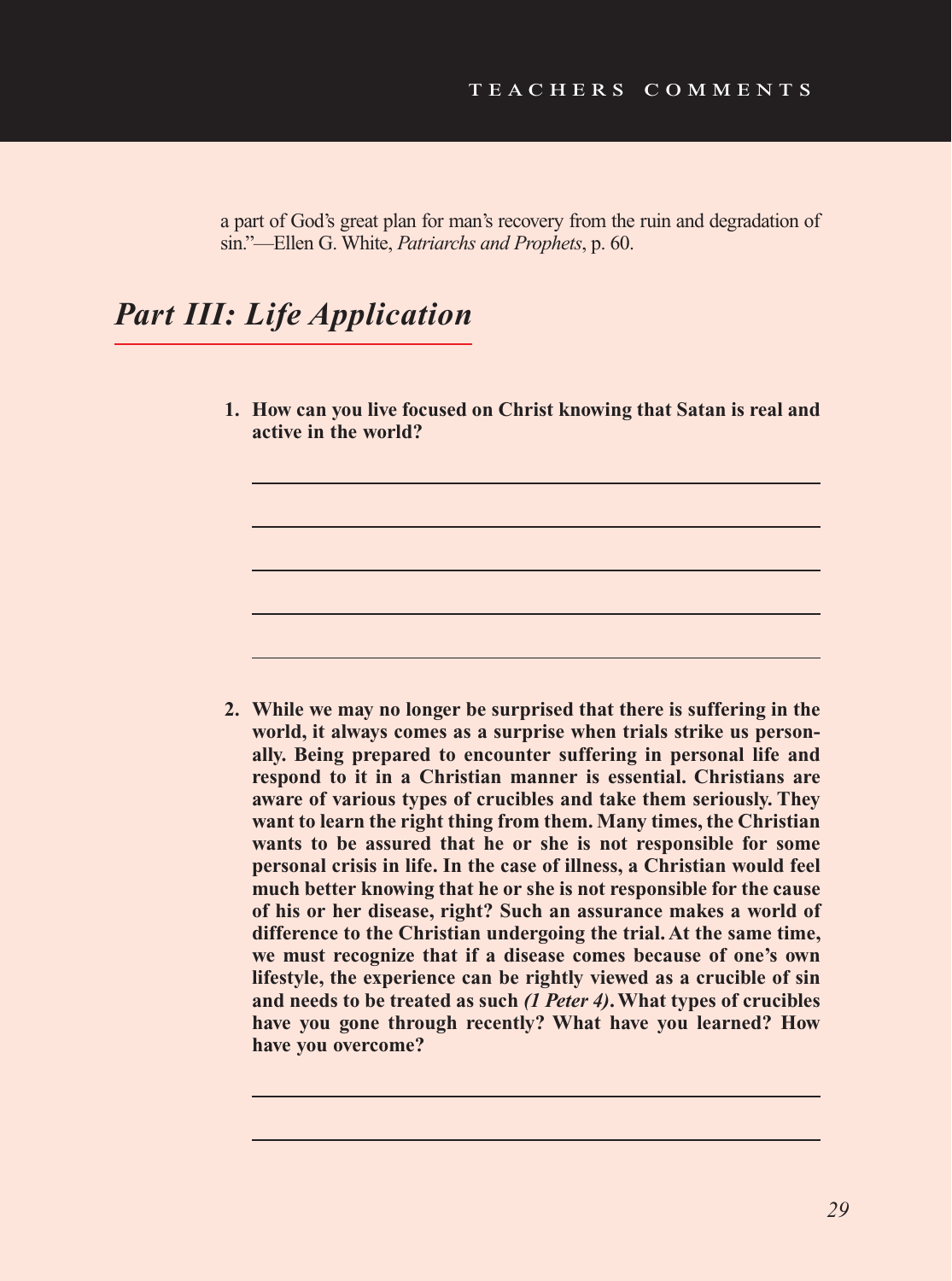a part of God's great plan for man's recovery from the ruin and degradation of sin."—Ellen G. White, *Patriarchs and Prophets*, p. 60.

# *Part III: Life Application*

**1. How can you live focused on Christ knowing that Satan is real and active in the world?** 

**2. While we may no longer be surprised that there is suffering in the world, it always comes as a surprise when trials strike us personally. Being prepared to encounter suffering in personal life and respond to it in a Christian manner is essential. Christians are aware of various types of crucibles and take them seriously. They want to learn the right thing from them. Many times, the Christian wants to be assured that he or she is not responsible for some personal crisis in life. In the case of illness, a Christian would feel much better knowing that he or she is not responsible for the cause of his or her disease, right? Such an assurance makes a world of difference to the Christian undergoing the trial. At the same time, we must recognize that if a disease comes because of one's own lifestyle, the experience can be rightly viewed as a crucible of sin and needs to be treated as such** *(1 Peter 4)***. What types of crucibles have you gone through recently? What have you learned? How have you overcome?**